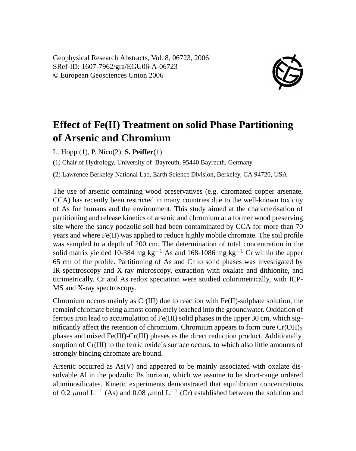Geophysical Research Abstracts, Vol. 8, 06723, 2006 SRef-ID: 1607-7962/gra/EGU06-A-06723 © European Geosciences Union 2006



## **Effect of Fe(II) Treatment on solid Phase Partitioning of Arsenic and Chromium**

L. Hopp (1), P. Nico(2), **S. Peiffer**(1)

(1) Chair of Hydrology, University of Bayreuth, 95440 Bayreuth, Germany

(2) Lawrence Berkeley National Lab, Earth Science Division, Berkeley, CA 94720, USA

The use of arsenic containing wood preservatives (e.g. chromated copper arsenate, CCA) has recently been restricted in many countries due to the well-known toxicity of As for humans and the environment. This study aimed at the characterisation of partitioning and release kinetics of arsenic and chromium at a former wood preserving site where the sandy podzolic soil had been contaminated by CCA for more than 70 years and where Fe(II) was applied to reduce highly mobile chromate. The soil profile was sampled to a depth of 200 cm. The determination of total concentration in the solid matrix yielded 10-384 mg kg<sup>-1</sup> As and 168-1086 mg kg<sup>-1</sup> Cr within the upper 65 cm of the profile. Partitioning of As and Cr to solid phases was investigated by IR-spectroscopy and X-ray microscopy, extraction with oxalate and dithionite, and titrimetrically. Cr and As redox speciation were studied colorimetrically, with ICP-MS and X-ray spectroscopy.

Chromium occurs mainly as Cr(III) due to reaction with Fe(II)-sulphate solution, the remainf chromate being almost completely leached into the groundwater. Oxidation of ferrous iron lead to accumulation of Fe(III) solid phases in the upper 30 cm, which significantly affect the retention of chromium. Chromium appears to form pure  $Cr(OH)_{3}$ phases and mixed Fe(III)-Cr(III) phases as the direct reduction product. Additionally, sorption of Cr(III) to the ferric oxide´s surface occurs, to which also little amounts of strongly binding chromate are bound.

Arsenic occurred as As(V) and appeared to be mainly associated with oxalate dissolvable Al in the podzolic Bs horizon, which we assume to be short-range ordered aluminosilicates. Kinetic experiments demonstrated that equilibrium concentrations of 0.2  $\mu$ mol L<sup>-1</sup> (As) and 0.08  $\mu$ mol L<sup>-1</sup> (Cr) established between the solution and